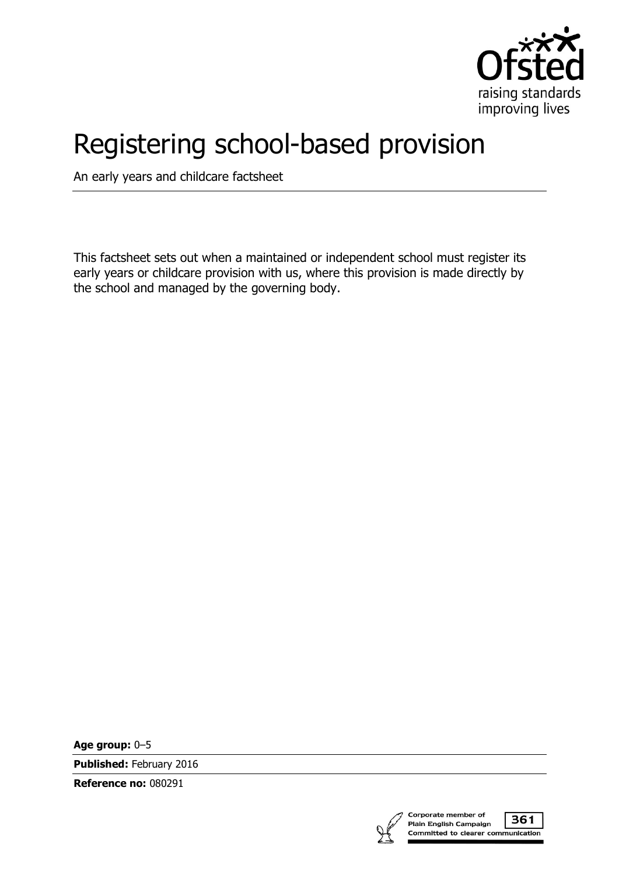

# Registering school-based provision

An early years and childcare factsheet

This factsheet sets out when a maintained or independent school must register its early years or childcare provision with us, where this provision is made directly by the school and managed by the governing body.

**Age group:** 0–5

**Published:** February 2016

**Reference no:** 080291



361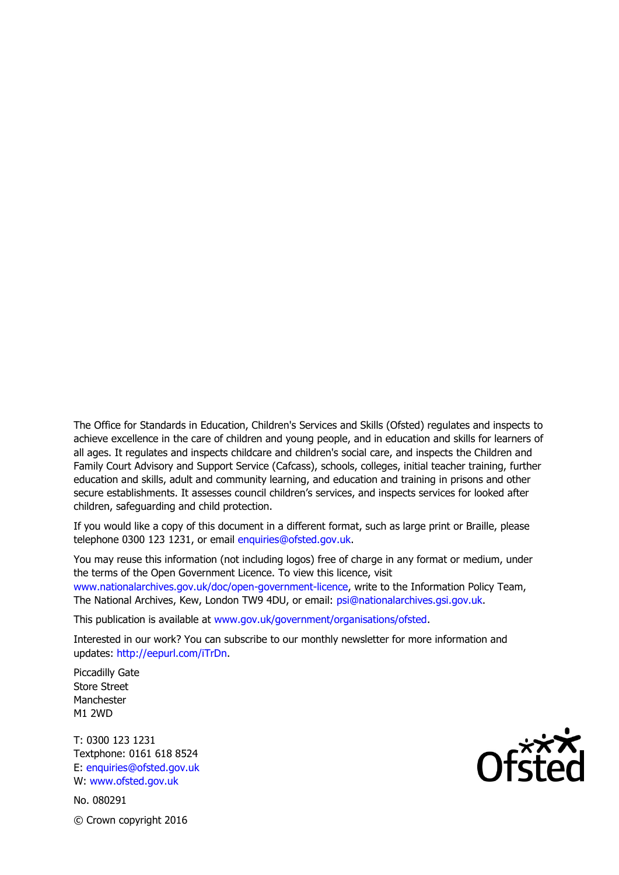The Office for Standards in Education, Children's Services and Skills (Ofsted) regulates and inspects to achieve excellence in the care of children and young people, and in education and skills for learners of all ages. It regulates and inspects childcare and children's social care, and inspects the Children and Family Court Advisory and Support Service (Cafcass), schools, colleges, initial teacher training, further education and skills, adult and community learning, and education and training in prisons and other secure establishments. It assesses council children's services, and inspects services for looked after children, safeguarding and child protection.

If you would like a copy of this document in a different format, such as large print or Braille, please telephone 0300 123 1231, or email enquiries@ofsted.gov.uk.

You may reuse this information (not including logos) free of charge in any format or medium, under the terms of the Open Government Licence. To view this licence, visit www.nationalarchives.gov.uk/doc/open-government-licence, write to the Information Policy Team, The National Archives, Kew, London TW9 4DU, or email: psi@nationalarchives.gsi.gov.uk.

This publication is available at www.gov.uk/government/organisations/ofsted.

Interested in our work? You can subscribe to our monthly newsletter for more information and updates: http://eepurl.com/iTrDn.

Piccadilly Gate Store Street Manchester M1 2WD

T: 0300 123 1231 Textphone: 0161 618 8524 E: enquiries@ofsted.gov.uk W: www.ofsted.gov.uk

No. 080291 © Crown copyright 2016

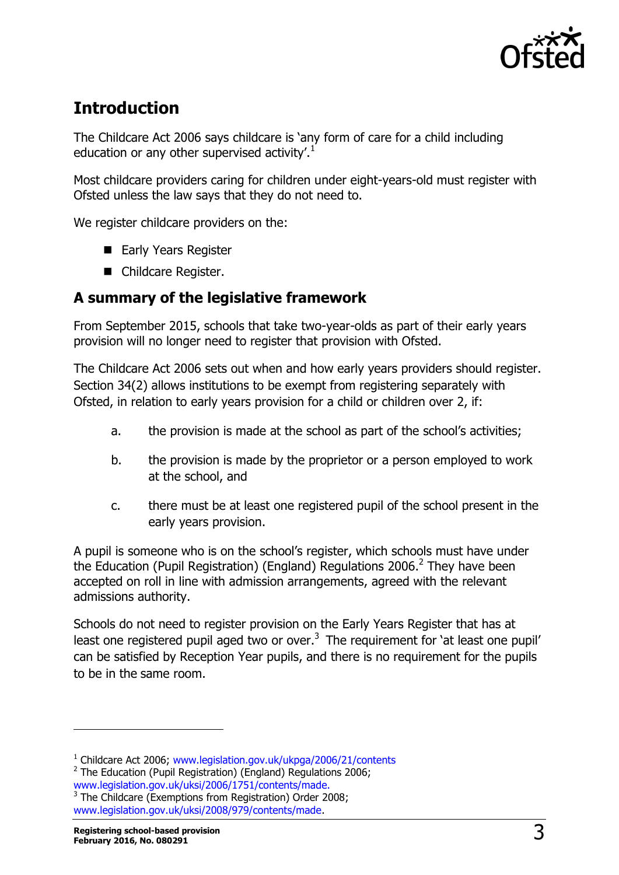

# **Introduction**

The Childcare Act 2006 says childcare is 'any form of care for a child including education or any other supervised activity'.<sup>1</sup>

Most childcare providers caring for children under eight-years-old must register with Ofsted unless the law says that they do not need to.

We register childcare providers on the:

- Early Years Register
- Childcare Register.

### **A summary of the legislative framework**

From September 2015, schools that take two-year-olds as part of their early years provision will no longer need to register that provision with Ofsted.

The Childcare Act 2006 sets out when and how early years providers should register. Section 34(2) allows institutions to be exempt from registering separately with Ofsted, in relation to early years provision for a child or children over 2, if:

- a. the provision is made at the school as part of the school's activities;
- b. the provision is made by the proprietor or a person employed to work at the school, and
- c. there must be at least one registered pupil of the school present in the early years provision.

A pupil is someone who is on the school's register, which schools must have under the Education (Pupil Registration) (England) Regulations 2006.<sup>2</sup> They have been accepted on roll in line with admission arrangements, agreed with the relevant admissions authority.

Schools do not need to register provision on the Early Years Register that has at least one registered pupil aged two or over.<sup>3</sup> The requirement for 'at least one pupil' can be satisfied by Reception Year pupils, and there is no requirement for the pupils to be in the same room.

 $\overline{a}$ 

<sup>&</sup>lt;sup>1</sup> Childcare Act 2006; [www.legislation.gov.uk/ukpga/2006/21/contents](http://www.legislation.gov.uk/ukpga/2006/21/contents)

<sup>&</sup>lt;sup>2</sup> The Education (Pupil Registration) (England) Regulations 2006; [www.legislation.gov.uk/uksi/2006/1751/contents/made.](http://www.legislation.gov.uk/uksi/2006/1751/contents/made)<br><sup>3</sup> The Childcare (Exemptions from Registration) Order 2008;

[www.legislation.gov.uk/uksi/2008/979/contents/made.](http://www.legislation.gov.uk/uksi/2008/979/contents/made)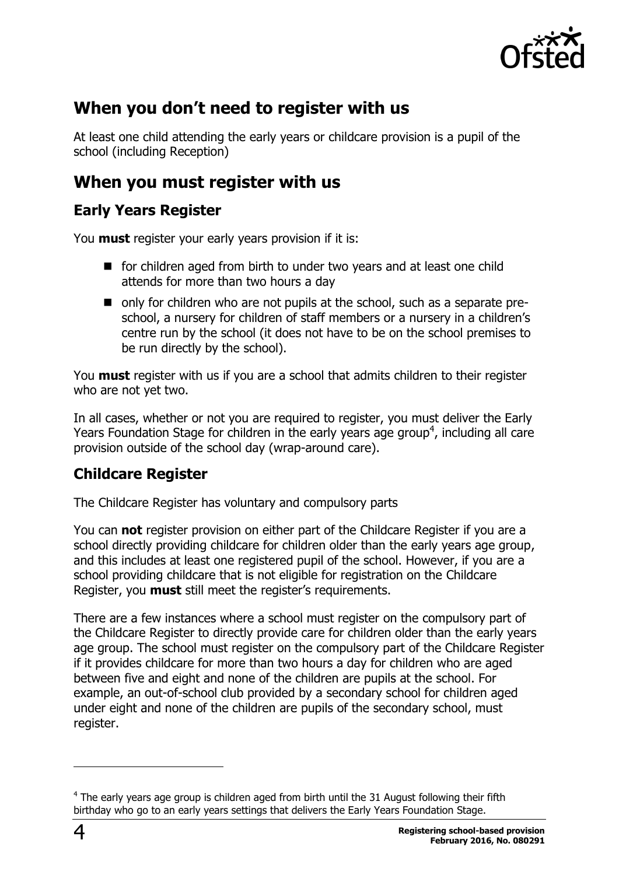

# **When you don't need to register with us**

At least one child attending the early years or childcare provision is a pupil of the school (including Reception)

# **When you must register with us**

### **Early Years Register**

You **must** register your early years provision if it is:

- for children aged from birth to under two years and at least one child attends for more than two hours a day
- only for children who are not pupils at the school, such as a separate preschool, a nursery for children of staff members or a nursery in a children's centre run by the school (it does not have to be on the school premises to be run directly by the school).

You **must** register with us if you are a school that admits children to their register who are not yet two.

In all cases, whether or not you are required to register, you must deliver the Early Years Foundation Stage for children in the early years age group<sup>4</sup>, including all care provision outside of the school day (wrap-around care).

### **Childcare Register**

The Childcare Register has voluntary and compulsory parts

You can **not** register provision on either part of the Childcare Register if you are a school directly providing childcare for children older than the early years age group, and this includes at least one registered pupil of the school. However, if you are a school providing childcare that is not eligible for registration on the Childcare Register, you **must** still meet the register's requirements.

There are a few instances where a school must register on the compulsory part of the Childcare Register to directly provide care for children older than the early years age group. The school must register on the compulsory part of the Childcare Register if it provides childcare for more than two hours a day for children who are aged between five and eight and none of the children are pupils at the school. For example, an out-of-school club provided by a secondary school for children aged under eight and none of the children are pupils of the secondary school, must register.

j

 $4$  The early years age group is children aged from birth until the 31 August following their fifth birthday who go to an early years settings that delivers the Early Years Foundation Stage.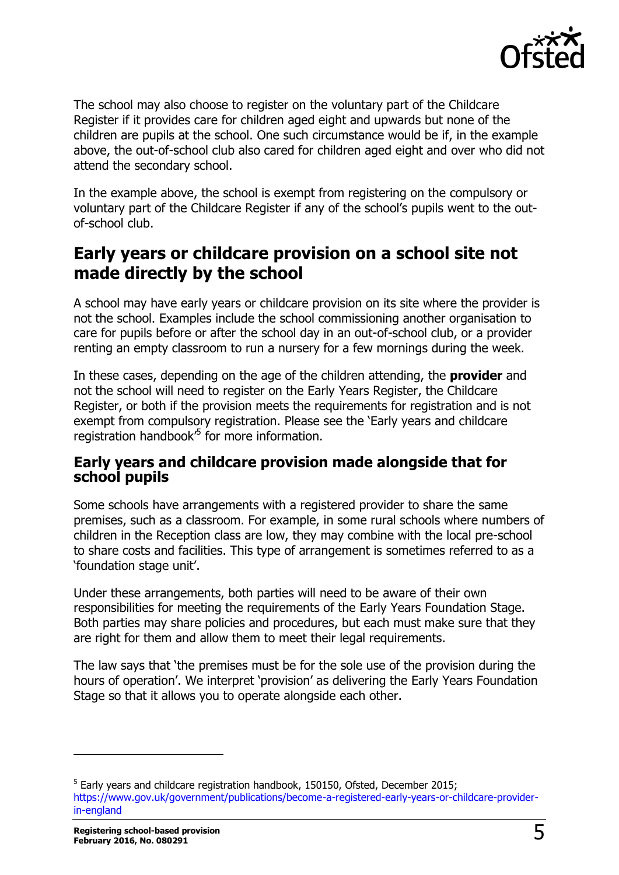

The school may also choose to register on the voluntary part of the Childcare Register if it provides care for children aged eight and upwards but none of the children are pupils at the school. One such circumstance would be if, in the example above, the out-of-school club also cared for children aged eight and over who did not attend the secondary school.

In the example above, the school is exempt from registering on the compulsory or voluntary part of the Childcare Register if any of the school's pupils went to the outof-school club.

# **Early years or childcare provision on a school site not made directly by the school**

A school may have early years or childcare provision on its site where the provider is not the school. Examples include the school commissioning another organisation to care for pupils before or after the school day in an out-of-school club, or a provider renting an empty classroom to run a nursery for a few mornings during the week.

In these cases, depending on the age of the children attending, the **provider** and not the school will need to register on the Early Years Register, the Childcare Register, or both if the provision meets the requirements for registration and is not exempt from compulsory registration. Please see the 'Early years and childcare registration handbook<sup>5</sup> for more information.

#### **Early years and childcare provision made alongside that for school pupils**

Some schools have arrangements with a registered provider to share the same premises, such as a classroom. For example, in some rural schools where numbers of children in the Reception class are low, they may combine with the local pre-school to share costs and facilities. This type of arrangement is sometimes referred to as a 'foundation stage unit'.

Under these arrangements, both parties will need to be aware of their own responsibilities for meeting the requirements of the Early Years Foundation Stage. Both parties may share policies and procedures, but each must make sure that they are right for them and allow them to meet their legal requirements.

The law says that 'the premises must be for the sole use of the provision during the hours of operation'. We interpret 'provision' as delivering the Early Years Foundation Stage so that it allows you to operate alongside each other.

-

<sup>&</sup>lt;sup>5</sup> Early years and childcare registration handbook, 150150, Ofsted, December 2015; [https://www.gov.uk/government/publications/become-a-registered-early-years-or-childcare-provider](https://www.gov.uk/government/publications/become-a-registered-early-years-or-childcare-provider-in-england)[in-england](https://www.gov.uk/government/publications/become-a-registered-early-years-or-childcare-provider-in-england)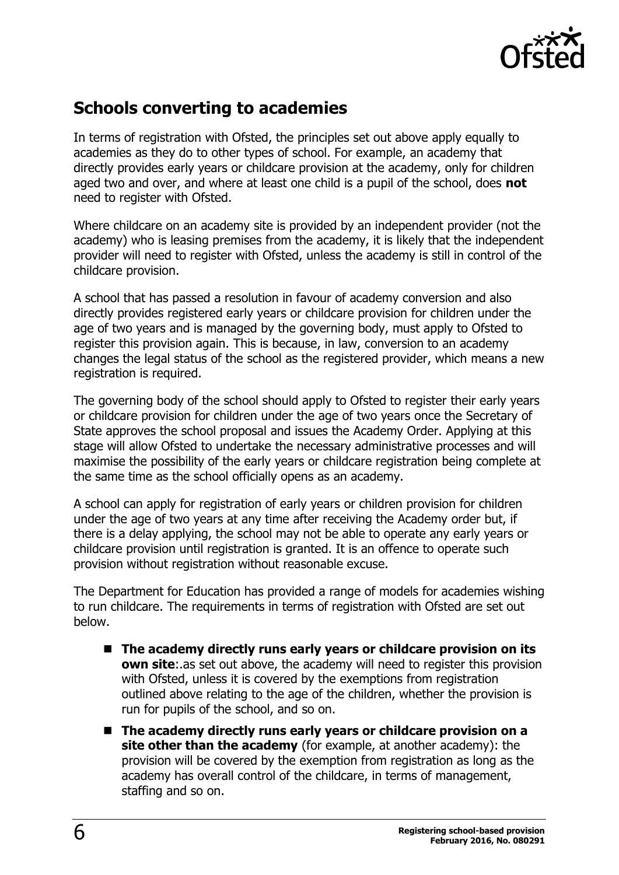

# **Schools converting to academies**

In terms of registration with Ofsted, the principles set out above apply equally to academies as they do to other types of school. For example, an academy that directly provides early years or childcare provision at the academy, only for children aged two and over, and where at least one child is a pupil of the school, does **not**  need to register with Ofsted.

Where childcare on an academy site is provided by an independent provider (not the academy) who is leasing premises from the academy, it is likely that the independent provider will need to register with Ofsted, unless the academy is still in control of the childcare provision.

A school that has passed a resolution in favour of academy conversion and also directly provides registered early years or childcare provision for children under the age of two years and is managed by the governing body, must apply to Ofsted to register this provision again. This is because, in law, conversion to an academy changes the legal status of the school as the registered provider, which means a new registration is required.

The governing body of the school should apply to Ofsted to register their early years or childcare provision for children under the age of two years once the Secretary of State approves the school proposal and issues the Academy Order. Applying at this stage will allow Ofsted to undertake the necessary administrative processes and will maximise the possibility of the early years or childcare registration being complete at the same time as the school officially opens as an academy.

A school can apply for registration of early years or children provision for children under the age of two years at any time after receiving the Academy order but, if there is a delay applying, the school may not be able to operate any early years or childcare provision until registration is granted. It is an offence to operate such provision without registration without reasonable excuse.

The Department for Education has provided a range of models for academies wishing to run childcare. The requirements in terms of registration with Ofsted are set out below.

- The academy directly runs early years or childcare provision on its **own site**: as set out above, the academy will need to register this provision with Ofsted, unless it is covered by the exemptions from registration outlined above relating to the age of the children, whether the provision is run for pupils of the school, and so on.
- The academy directly runs early years or childcare provision on a **site other than the academy** (for example, at another academy): the provision will be covered by the exemption from registration as long as the academy has overall control of the childcare, in terms of management, staffing and so on.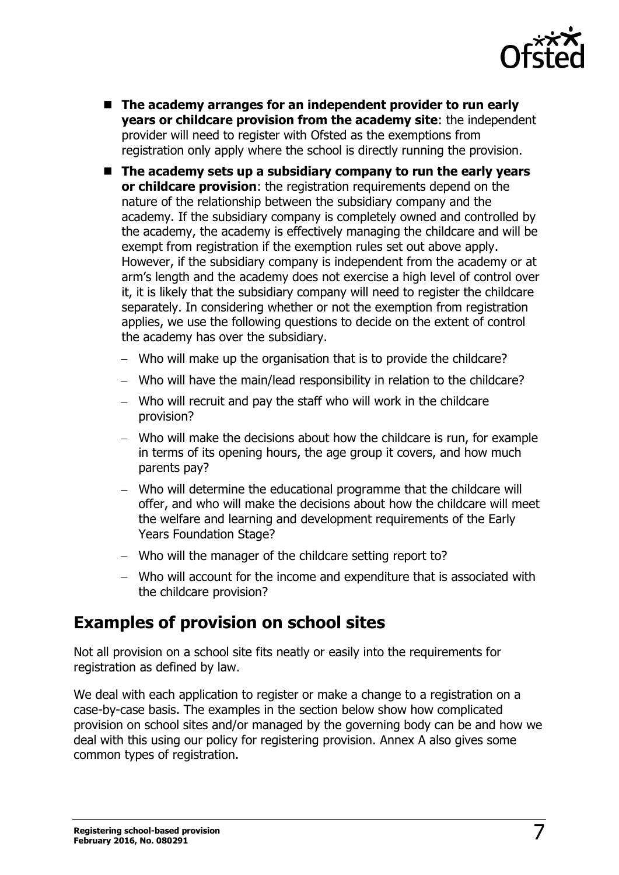

- The academy arranges for an independent provider to run early **years or childcare provision from the academy site**: the independent provider will need to register with Ofsted as the exemptions from registration only apply where the school is directly running the provision.
- The academy sets up a subsidiary company to run the early years **or childcare provision**: the registration requirements depend on the nature of the relationship between the subsidiary company and the academy. If the subsidiary company is completely owned and controlled by the academy, the academy is effectively managing the childcare and will be exempt from registration if the exemption rules set out above apply. However, if the subsidiary company is independent from the academy or at arm's length and the academy does not exercise a high level of control over it, it is likely that the subsidiary company will need to register the childcare separately. In considering whether or not the exemption from registration applies, we use the following questions to decide on the extent of control the academy has over the subsidiary.
	- Who will make up the organisation that is to provide the childcare?
	- Who will have the main/lead responsibility in relation to the childcare?
	- Who will recruit and pay the staff who will work in the childcare provision?
	- Who will make the decisions about how the childcare is run, for example in terms of its opening hours, the age group it covers, and how much parents pay?
	- Who will determine the educational programme that the childcare will offer, and who will make the decisions about how the childcare will meet the welfare and learning and development requirements of the Early Years Foundation Stage?
	- Who will the manager of the childcare setting report to?
	- Who will account for the income and expenditure that is associated with the childcare provision?

# **Examples of provision on school sites**

Not all provision on a school site fits neatly or easily into the requirements for registration as defined by law.

We deal with each application to register or make a change to a registration on a case-by-case basis. The examples in the section below show how complicated provision on school sites and/or managed by the governing body can be and how we deal with this using our policy for registering provision. Annex A also gives some common types of registration.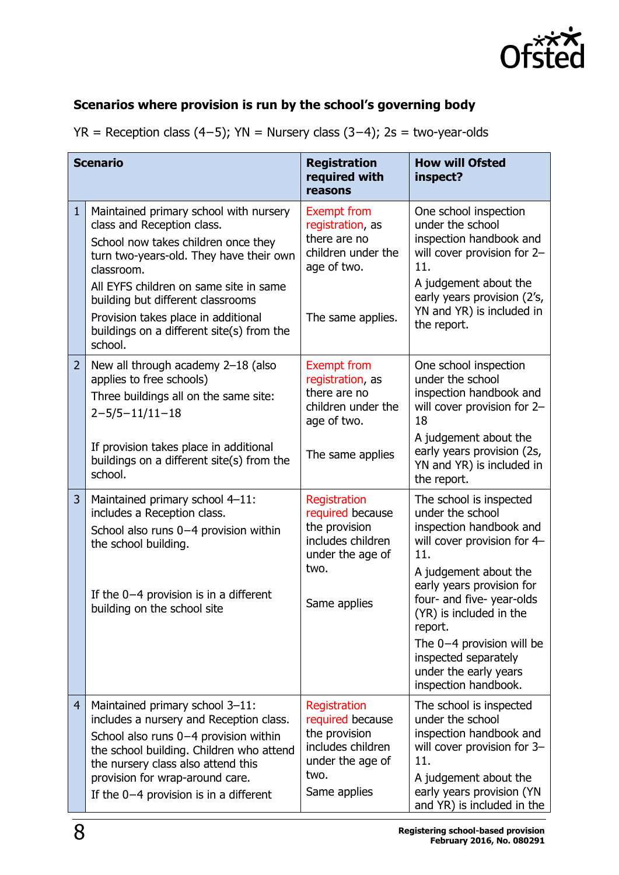

# **Scenarios where provision is run by the school's governing body**

| $YR$ = Reception class (4–5); $YN$ = Nursery class (3–4); 2s = two-year-olds |  |
|------------------------------------------------------------------------------|--|
|                                                                              |  |

|                | <b>Scenario</b>                                                                                                                                                                                                                                                                                                                                    | <b>Registration</b><br>required with<br>reasons                                                                    | <b>How will Ofsted</b><br>inspect?                                                                                                                                                                                       |
|----------------|----------------------------------------------------------------------------------------------------------------------------------------------------------------------------------------------------------------------------------------------------------------------------------------------------------------------------------------------------|--------------------------------------------------------------------------------------------------------------------|--------------------------------------------------------------------------------------------------------------------------------------------------------------------------------------------------------------------------|
| $\mathbf{1}$   | Maintained primary school with nursery<br>class and Reception class.<br>School now takes children once they<br>turn two-years-old. They have their own<br>classroom.<br>All EYFS children on same site in same<br>building but different classrooms<br>Provision takes place in additional<br>buildings on a different site(s) from the<br>school. | <b>Exempt from</b><br>registration, as<br>there are no<br>children under the<br>age of two.<br>The same applies.   | One school inspection<br>under the school<br>inspection handbook and<br>will cover provision for 2-<br>11.<br>A judgement about the<br>early years provision (2's,<br>YN and YR) is included in<br>the report.           |
| $\overline{2}$ | New all through academy 2-18 (also<br>applies to free schools)<br>Three buildings all on the same site:<br>$2 - 5/5 - 11/11 - 18$                                                                                                                                                                                                                  | <b>Exempt from</b><br>registration, as<br>there are no<br>children under the<br>age of two.                        | One school inspection<br>under the school<br>inspection handbook and<br>will cover provision for 2-<br>18                                                                                                                |
|                | If provision takes place in additional<br>buildings on a different site(s) from the<br>school.                                                                                                                                                                                                                                                     | The same applies                                                                                                   | A judgement about the<br>early years provision (2s,<br>YN and YR) is included in<br>the report.                                                                                                                          |
| 3              | Maintained primary school 4-11:<br>includes a Reception class.<br>School also runs 0-4 provision within<br>the school building.                                                                                                                                                                                                                    | Registration<br>required because<br>the provision<br>includes children<br>under the age of                         | The school is inspected<br>under the school<br>inspection handbook and<br>will cover provision for 4-<br>11.                                                                                                             |
|                | If the $0-4$ provision is in a different<br>building on the school site                                                                                                                                                                                                                                                                            | two.<br>Same applies                                                                                               | A judgement about the<br>early years provision for<br>four- and five- year-olds<br>(YR) is included in the<br>report.<br>The $0-4$ provision will be<br>inspected separately<br>under the early years                    |
| $\overline{4}$ | Maintained primary school 3-11:<br>includes a nursery and Reception class.<br>School also runs 0-4 provision within<br>the school building. Children who attend<br>the nursery class also attend this<br>provision for wrap-around care.<br>If the $0-4$ provision is in a different                                                               | Registration<br>required because<br>the provision<br>includes children<br>under the age of<br>two.<br>Same applies | inspection handbook.<br>The school is inspected<br>under the school<br>inspection handbook and<br>will cover provision for 3-<br>11.<br>A judgement about the<br>early years provision (YN<br>and YR) is included in the |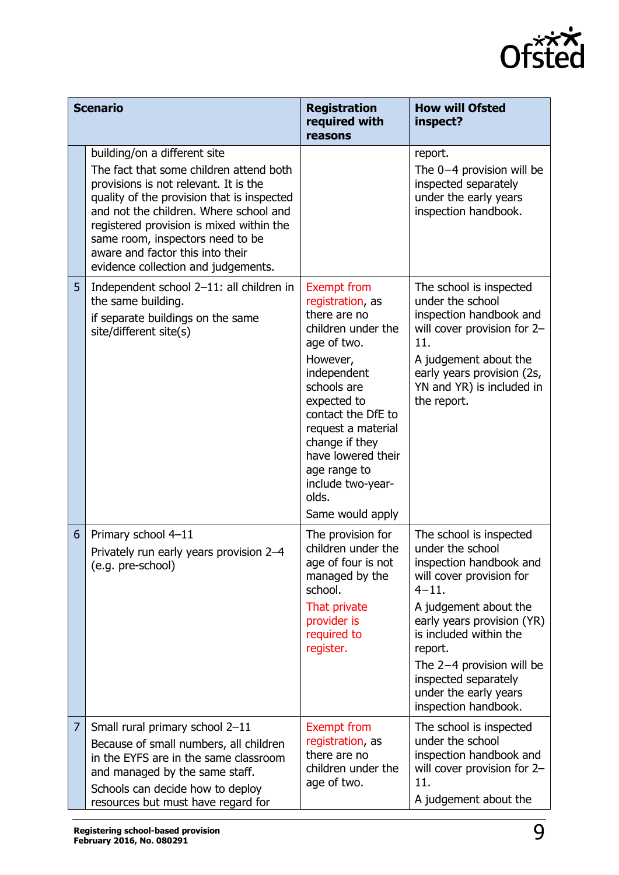

|   | <b>Scenario</b>                                                                                                                                                                                                                                                                                                                                                     | <b>Registration</b><br>required with<br>reasons                                                                                                                                                                                                                                                            | <b>How will Ofsted</b><br>inspect?                                                                                                                                                                                                                                                                                  |
|---|---------------------------------------------------------------------------------------------------------------------------------------------------------------------------------------------------------------------------------------------------------------------------------------------------------------------------------------------------------------------|------------------------------------------------------------------------------------------------------------------------------------------------------------------------------------------------------------------------------------------------------------------------------------------------------------|---------------------------------------------------------------------------------------------------------------------------------------------------------------------------------------------------------------------------------------------------------------------------------------------------------------------|
|   | building/on a different site<br>The fact that some children attend both<br>provisions is not relevant. It is the<br>quality of the provision that is inspected<br>and not the children. Where school and<br>registered provision is mixed within the<br>same room, inspectors need to be<br>aware and factor this into their<br>evidence collection and judgements. |                                                                                                                                                                                                                                                                                                            | report.<br>The $0-4$ provision will be<br>inspected separately<br>under the early years<br>inspection handbook.                                                                                                                                                                                                     |
| 5 | Independent school 2-11: all children in<br>the same building.<br>if separate buildings on the same<br>site/different site(s)                                                                                                                                                                                                                                       | <b>Exempt from</b><br>registration, as<br>there are no<br>children under the<br>age of two.<br>However,<br>independent<br>schools are<br>expected to<br>contact the DfE to<br>request a material<br>change if they<br>have lowered their<br>age range to<br>include two-year-<br>olds.<br>Same would apply | The school is inspected<br>under the school<br>inspection handbook and<br>will cover provision for 2-<br>11.<br>A judgement about the<br>early years provision (2s,<br>YN and YR) is included in<br>the report.                                                                                                     |
| 6 | Primary school 4-11<br>Privately run early years provision 2-4<br>(e.g. pre-school)                                                                                                                                                                                                                                                                                 | The provision for<br>children under the<br>age of four is not<br>managed by the<br>school.<br>That private<br>provider is<br>required to<br>register.                                                                                                                                                      | The school is inspected<br>under the school<br>inspection handbook and<br>will cover provision for<br>$4 - 11.$<br>A judgement about the<br>early years provision (YR)<br>is included within the<br>report.<br>The $2-4$ provision will be<br>inspected separately<br>under the early years<br>inspection handbook. |
| 7 | Small rural primary school 2-11<br>Because of small numbers, all children<br>in the EYFS are in the same classroom<br>and managed by the same staff.<br>Schools can decide how to deploy<br>resources but must have regard for                                                                                                                                      | <b>Exempt from</b><br>registration, as<br>there are no<br>children under the<br>age of two.                                                                                                                                                                                                                | The school is inspected<br>under the school<br>inspection handbook and<br>will cover provision for 2-<br>11.<br>A judgement about the                                                                                                                                                                               |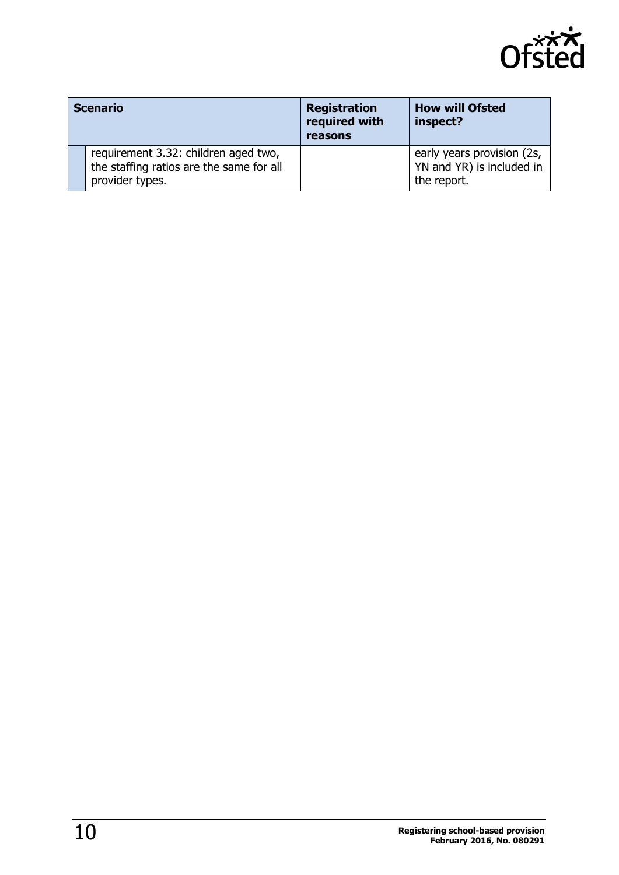

| <b>Scenario</b> |                                                                                                     | <b>Registration</b><br>required with<br>reasons | <b>How will Ofsted</b><br>inspect?                                     |
|-----------------|-----------------------------------------------------------------------------------------------------|-------------------------------------------------|------------------------------------------------------------------------|
|                 | requirement 3.32: children aged two,<br>the staffing ratios are the same for all<br>provider types. |                                                 | early years provision (2s,<br>YN and YR) is included in<br>the report. |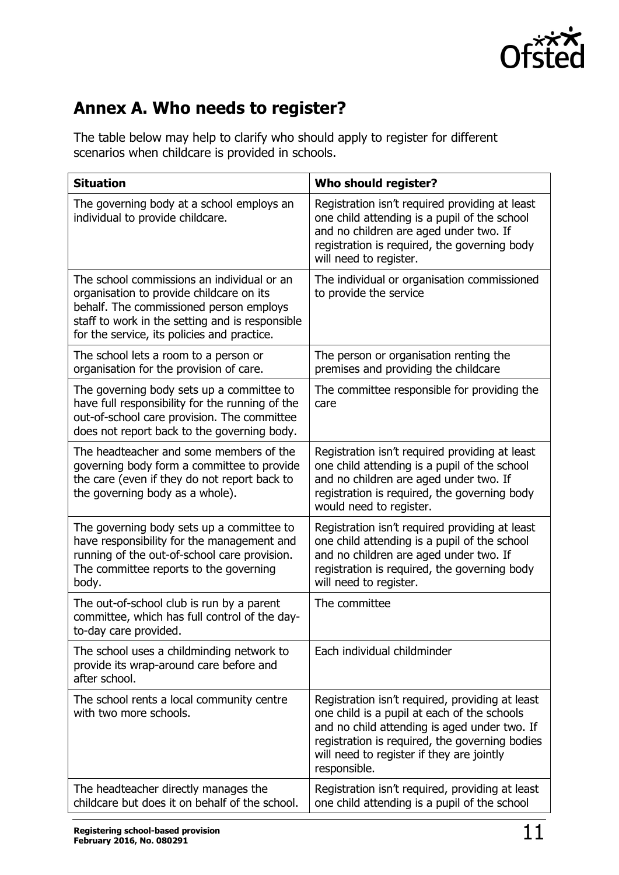

# **Annex A. Who needs to register?**

The table below may help to clarify who should apply to register for different scenarios when childcare is provided in schools.

| <b>Situation</b>                                                                                                                                                                                                                    | Who should register?                                                                                                                                                                                                                                          |
|-------------------------------------------------------------------------------------------------------------------------------------------------------------------------------------------------------------------------------------|---------------------------------------------------------------------------------------------------------------------------------------------------------------------------------------------------------------------------------------------------------------|
| The governing body at a school employs an<br>individual to provide childcare.                                                                                                                                                       | Registration isn't required providing at least<br>one child attending is a pupil of the school<br>and no children are aged under two. If<br>registration is required, the governing body<br>will need to register.                                            |
| The school commissions an individual or an<br>organisation to provide childcare on its<br>behalf. The commissioned person employs<br>staff to work in the setting and is responsible<br>for the service, its policies and practice. | The individual or organisation commissioned<br>to provide the service                                                                                                                                                                                         |
| The school lets a room to a person or<br>organisation for the provision of care.                                                                                                                                                    | The person or organisation renting the<br>premises and providing the childcare                                                                                                                                                                                |
| The governing body sets up a committee to<br>have full responsibility for the running of the<br>out-of-school care provision. The committee<br>does not report back to the governing body.                                          | The committee responsible for providing the<br>care                                                                                                                                                                                                           |
| The headteacher and some members of the<br>governing body form a committee to provide<br>the care (even if they do not report back to<br>the governing body as a whole).                                                            | Registration isn't required providing at least<br>one child attending is a pupil of the school<br>and no children are aged under two. If<br>registration is required, the governing body<br>would need to register.                                           |
| The governing body sets up a committee to<br>have responsibility for the management and<br>running of the out-of-school care provision.<br>The committee reports to the governing<br>body.                                          | Registration isn't required providing at least<br>one child attending is a pupil of the school<br>and no children are aged under two. If<br>registration is required, the governing body<br>will need to register.                                            |
| The out-of-school club is run by a parent<br>committee, which has full control of the day-<br>to-day care provided.                                                                                                                 | The committee                                                                                                                                                                                                                                                 |
| The school uses a childminding network to<br>provide its wrap-around care before and<br>after school.                                                                                                                               | Each individual childminder                                                                                                                                                                                                                                   |
| The school rents a local community centre<br>with two more schools.                                                                                                                                                                 | Registration isn't required, providing at least<br>one child is a pupil at each of the schools<br>and no child attending is aged under two. If<br>registration is required, the governing bodies<br>will need to register if they are jointly<br>responsible. |
| The headteacher directly manages the<br>childcare but does it on behalf of the school.                                                                                                                                              | Registration isn't required, providing at least<br>one child attending is a pupil of the school                                                                                                                                                               |